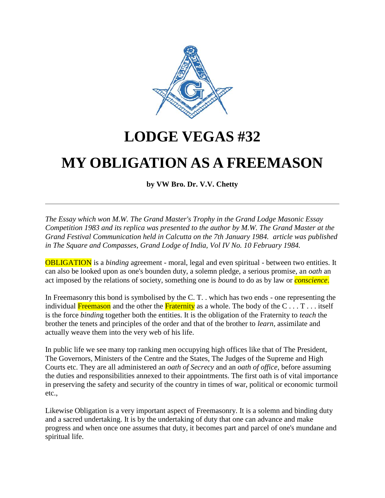

## **LODGE VEGAS #32**

## **MY OBLIGATION AS A FREEMASON**

**by VW Bro. Dr. V.V. Chetty**

*The Essay which won M.W. The Grand Master's Trophy in the Grand Lodge Masonic Essay Competition 1983 and its replica was presented to the author by M.W. The Grand Master at the Grand Festival Communication held in Calcutta on the 7th January 1984. article was published in The Square and Compasses, Grand Lodge of India, Vol IV No. 10 February 1984.*

OBLIGATION is a *binding* agreement - moral, legal and even spiritual - between two entities. It can also be looked upon as one's bounden duty, a solemn pledge, a serious promise, an *oath* an act imposed by the relations of society, something one is *boun*d to do as by law or *conscience*.

In Freemasonry this bond is symbolised by the C. T. . which has two ends - one representing the individual Freemason and the other the Fraternity as a whole. The body of the  $C \ldots T \ldots$  itself is the force *bindin*g together both the entities. It is the obligation of the Fraternity to *teach* the brother the tenets and principles of the order and that of the brother to *learn*, assimilate and actually weave them into the very web of his life.

In public life we see many top ranking men occupying high offices like that of The President, The Governors, Ministers of the Centre and the States, The Judges of the Supreme and High Courts etc. They are all administered an *oath of Secrecy* and an *oath of office*, before assuming the duties and responsibilities annexed to their appointments. The first oath is of vital importance in preserving the safety and security of the country in times of war, political or economic turmoil etc.,

Likewise Obligation is a very important aspect of Freemasonry. It is a solemn and binding duty and a sacred undertaking. It is by the undertaking of duty that one can advance and make progress and when once one assumes that duty, it becomes part and parcel of one's mundane and spiritual life.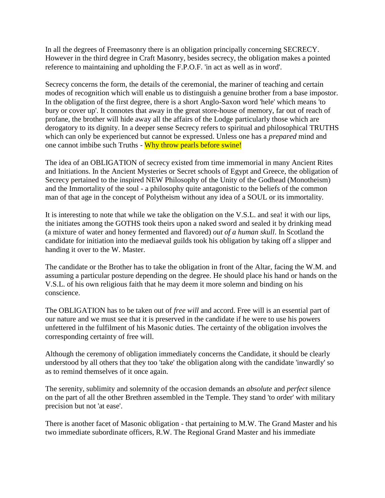In all the degrees of Freemasonry there is an obligation principally concerning SECRECY. However in the third degree in Craft Masonry, besides secrecy, the obligation makes a pointed reference to maintaining and upholding the F.P.O.F. 'in act as well as in word'.

Secrecy concerns the form, the details of the ceremonial, the mariner of teaching and certain modes of recognition which will enable us to distinguish a genuine brother from a base impostor. In the obligation of the first degree, there is a short Anglo-Saxon word 'hele' which means 'to bury or cover up'. It connotes that away in the great store-house of memory, far out of reach of profane, the brother will hide away all the affairs of the Lodge particularly those which are derogatory to its dignity. In a deeper sense Secrecy refers to spiritual and philosophical TRUTHS which can only be experienced but cannot be expressed. Unless one has a *prepared* mind and one cannot imbibe such Truths - Why throw pearls before swine!

The idea of an OBLIGATION of secrecy existed from time immemorial in many Ancient Rites and Initiations. In the Ancient Mysteries or Secret schools of Egypt and Greece, the obligation of Secrecy pertained to the inspired NEW Philosophy of the Unity of the Godhead (Monotheism) and the Immortality of the soul - a philosophy quite antagonistic to the beliefs of the common man of that age in the concept of Polytheism without any idea of a SOUL or its immortality.

It is interesting to note that while we take the obligation on the V.S.L. and sea! it with our lips, the initiates among the GOTHS took theirs upon a naked sword and sealed it by drinking mead (a mixture of water and honey fermented and flavored) *out of a human skull*. In Scotland the candidate for initiation into the mediaeval guilds took his obligation by taking off a slipper and handing it over to the W. Master.

The candidate or the Brother has to take the obligation in front of the Altar, facing the W.M. and assuming a particular posture depending on the degree. He should place his hand or hands on the V.S.L. of his own religious faith that he may deem it more solemn and binding on his conscience.

The OBLIGATION has to be taken out of *free will* and accord. Free will is an essential part of our nature and we must see that it is preserved in the candidate if he were to use his powers unfettered in the fulfilment of his Masonic duties. The certainty of the obligation involves the corresponding certainty of free will.

Although the ceremony of obligation immediately concerns the Candidate, it should be clearly understood by all others that they too 'take' the obligation along with the candidate 'inwardly' so as to remind themselves of it once again.

The serenity, sublimity and solemnity of the occasion demands an *absolute* and *perfect* silence on the part of all the other Brethren assembled in the Temple. They stand 'to order' with military precision but not 'at ease'.

There is another facet of Masonic obligation - that pertaining to M.W. The Grand Master and his two immediate subordinate officers, R.W. The Regional Grand Master and his immediate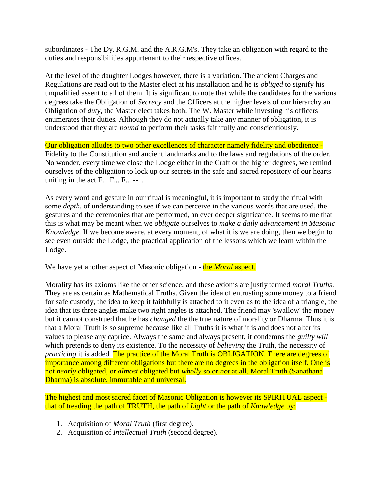subordinates - The Dy. R.G.M. and the A.R.G.M's. They take an obligation with regard to the duties and responsibilities appurtenant to their respective offices.

At the level of the daughter Lodges however, there is a variation. The ancient Charges and Regulations are read out to the Master elect at his installation and he is *obliged* to signify his unqualified assent to all of them. It is significant to note that while the candidates for the various degrees take the Obligation of *Secrecy* and the Officers at the higher levels of our hierarchy an Obligation of *duty*, the Master elect takes both. The W. Master while investing his officers enumerates their duties. Although they do not actually take any manner of obligation, it is understood that they are *bound* to perform their tasks faithfully and conscientiously.

Our obligation alludes to two other excellences of character namely fidelity and obedience - Fidelity to the Constitution and ancient landmarks and to the laws and regulations of the order. No wonder, every time we close the Lodge either in the Craft or the higher degrees, we remind ourselves of the obligation to lock up our secrets in the safe and sacred repository of our hearts uniting in the act  $F... F... F...$  --...

As every word and gesture in our ritual is meaningful, it is important to study the ritual with some *depth*, of understanding to see if we can perceive in the various words that are used, the gestures and the ceremonies that are performed, an ever deeper signficance. It seems to me that this is what may be meant when we *obligate* ourselves to *make a daily advancement in Masonic Knowledge*. If we become aware, at every moment, of what it is we are doing, then we begin to see even outside the Lodge, the practical application of the lessons which we learn within the Lodge.

We have yet another aspect of Masonic obligation - the *Moral* aspect.

Morality has its axioms like the other science; and these axioms are justly termed *moral Truths*. They are as certain as Mathematical Truths. Given the idea of entrusting some money to a friend for safe custody, the idea to keep it faithfully is attached to it even as to the idea of a triangle, the idea that its three angles make two right angles is attached. The friend may 'swallow' the money but it cannot construed that he has *changed* the the true nature of morality or Dharma. Thus it is that a Moral Truth is so supreme because like all Truths it is what it is and does not alter its values to please any caprice. Always the same and always present, it condemns the *guilty will* which pretends to deny its existence. To the necessity of *believing* the Truth, the necessity of *practicing* it is added. The practice of the Moral Truth is OBLIGATION. There are degrees of importance among different obligations but there are no degrees in the obligation itself. One is not *nearly* obligated, or *almost* obligated but *wholly* so or *not* at all. Moral Truth (Sanathana Dharma) is absolute, immutable and universal.

The highest and most sacred facet of Masonic Obligation is however its SPIRITUAL aspect that of treading the path of TRUTH, the path of *Light* or the path of *Knowledge* by:

- 1. Acquisition of *Moral Truth* (first degree).
- 2. Acquisition of *Intellectual Truth* (second degree).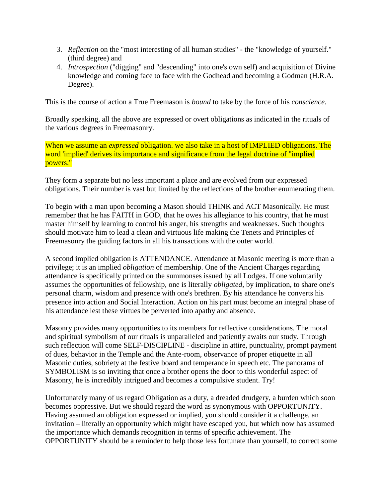- 3. *Reflection* on the "most interesting of all human studies" the "knowledge of yourself." (third degree) and
- 4. *Introspection* ("digging" and "descending" into one's own self) and acquisition of Divine knowledge and coming face to face with the Godhead and becoming a Godman (H.R.A. Degree).

This is the course of action a True Freemason is *bound* to take by the force of his *conscience*.

Broadly speaking, all the above are expressed or overt obligations as indicated in the rituals of the various degrees in Freemasonry.

When we assume an *expressed* obligation. we also take in a host of IMPLIED obligations. The word 'implied' derives its importance and significance from the legal doctrine of "implied powers."

They form a separate but no less important a place and are evolved from our expressed obligations. Their number is vast but limited by the reflections of the brother enumerating them.

To begin with a man upon becoming a Mason should THINK and ACT Masonically. He must remember that he has FAITH in GOD, that he owes his allegiance to his country, that he must master himself by learning to control his anger, his strengths and weaknesses. Such thoughts should motivate him to lead a clean and virtuous life making the Tenets and Principles of Freemasonry the guiding factors in all his transactions with the outer world.

A second implied obligation is ATTENDANCE. Attendance at Masonic meeting is more than a privilege; it is an implied *obligation* of membership. One of the Ancient Charges regarding attendance is specifically printed on the summonses issued by all Lodges. If one voluntarily assumes the opportunities of fellowship, one is literally *obligated*, by implication, to share one's personal charm, wisdom and presence with one's brethren. By his attendance he converts his presence into action and Social Interaction. Action on his part must become an integral phase of his attendance lest these virtues be perverted into apathy and absence.

Masonry provides many opportunities to its members for reflective considerations. The moral and spiritual symbolism of our rituals is unparalleled and patiently awaits our study. Through such reflection will come SELF-DISCIPLINE - discipline in attire, punctuality, prompt payment of dues, behavior in the Temple and the Ante-room, observance of proper etiquette in all Masonic duties, sobriety at the festive board and temperance in speech etc. The panorama of SYMBOLISM is so inviting that once a brother opens the door to this wonderful aspect of Masonry, he is incredibly intrigued and becomes a compulsive student. Try!

Unfortunately many of us regard Obligation as a duty, a dreaded drudgery, a burden which soon becomes oppressive. But we should regard the word as synonymous with OPPORTUNITY. Having assumed an obligation expressed or implied, you should consider it a challenge, an invitation – literally an opportunity which might have escaped you, but which now has assumed the importance which demands recognition in terms of specific achievement. The OPPORTUNITY should be a reminder to help those less fortunate than yourself, to correct some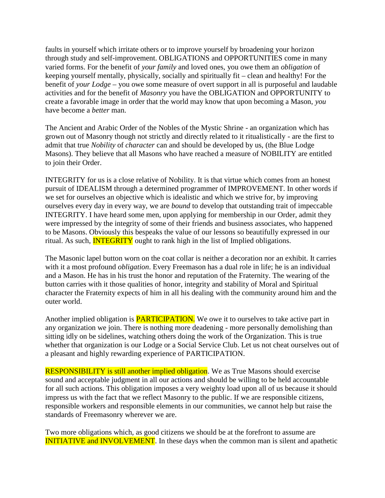faults in yourself which irritate others or to improve yourself by broadening your horizon through study and self-improvement. OBLIGATIONS and OPPORTUNITIES come in many varied forms. For the benefit of *your family* and loved ones, you owe them an *obligation* of keeping yourself mentally, physically, socially and spiritually fit – clean and healthy! For the benefit of *your Lodge* – you owe some measure of overt support in all is purposeful and laudable activities and for the benefit of *Masonry* you have the OBLIGATION and OPPORTUNITY to create a favorable image in order that the world may know that upon becoming a Mason, *you* have become a *better* man.

The Ancient and Arabic Order of the Nobles of the Mystic Shrine - an organization which has grown out of Masonry though not strictly and directly related to it ritualistically - are the first to admit that true *Nobility* of *character* can and should be developed by us, (the Blue Lodge Masons). They believe that all Masons who have reached a measure of NOBILITY are entitled to join their Order.

INTEGRITY for us is a close relative of Nobility. It is that virtue which comes from an honest pursuit of IDEALISM through a determined programmer of IMPROVEMENT. In other words if we set for ourselves an objective which is idealistic and which we strive for, by improving ourselves every day in every way, we are *bound* to develop that outstanding trait of impeccable INTEGRITY. I have heard some men, upon applying for membership in our Order, admit they were impressed by the integrity of some of their friends and business associates, who happened to be Masons. Obviously this bespeaks the value of our lessons so beautifully expressed in our ritual. As such, **INTEGRITY** ought to rank high in the list of Implied obligations.

The Masonic lapel button worn on the coat collar is neither a decoration nor an exhibit. It carries with it a most profound *obligation*. Every Freemason has a dual role in life; he is an individual and a Mason. He has in his trust the honor and reputation of the Fraternity. The wearing of the button carries with it those qualities of honor, integrity and stability of Moral and Spiritual character the Fraternity expects of him in all his dealing with the community around him and the outer world.

Another implied obligation is **PARTICIPATION**. We owe it to ourselves to take active part in any organization we join. There is nothing more deadening - more personally demolishing than sitting idly on be sidelines, watching others doing the work of the Organization. This is true whether that organization is our Lodge or a Social Service Club. Let us not cheat ourselves out of a pleasant and highly rewarding experience of PARTICIPATION.

RESPONSIBILITY is still another implied obligation. We as True Masons should exercise sound and acceptable judgment in all our actions and should be willing to be held accountable for all such actions. This obligation imposes a very weighty load upon all of us because it should impress us with the fact that we reflect Masonry to the public. If we are responsible citizens, responsible workers and responsible elements in our communities, we cannot help but raise the standards of Freemasonry wherever we are.

Two more obligations which, as good citizens we should be at the forefront to assume are **INITIATIVE and INVOLVEMENT**. In these days when the common man is silent and apathetic